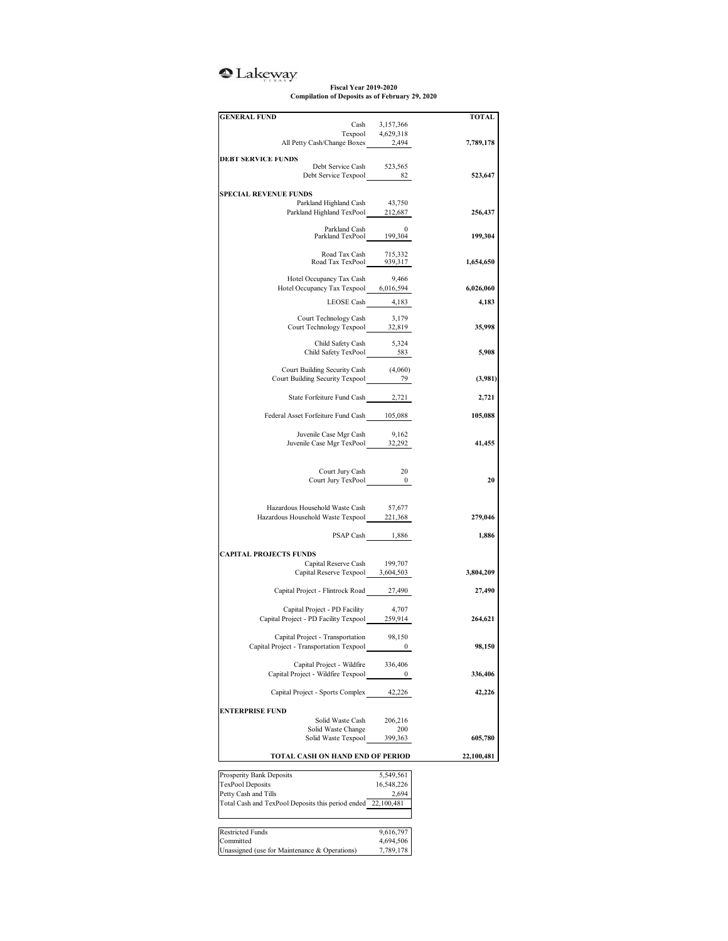## <sup>2</sup>Lakeway

**Fiscal Year 2019-2020 Compilation of Deposits as of February 29, 2020**

| <b>GENERAL FUND</b>                                                                  | TOTAL                                                          |
|--------------------------------------------------------------------------------------|----------------------------------------------------------------|
|                                                                                      | Cash 3,157,366                                                 |
| Texpool 4,629,318<br>All Petty Cash/Change Boxes 2,494                               | 7,789,178                                                      |
|                                                                                      |                                                                |
| <b>DEBT SERVICE FUNDS</b>                                                            | 523,565                                                        |
| Debt Service Cash                                                                    | Debt Service Texpool 82<br>523,647                             |
|                                                                                      |                                                                |
| <b>SPECIAL REVENUE FUNDS</b>                                                         |                                                                |
| Parkland Highland Cash                                                               | 43,750                                                         |
|                                                                                      | Parkland Highland TexPool 212,687<br>256,437                   |
|                                                                                      | Parkland Cash 0<br>Parkland TexPool 199,304                    |
|                                                                                      | 199,304                                                        |
|                                                                                      |                                                                |
|                                                                                      | Road Tax Cash 715,332<br>Road Tax TexPool 939,317<br>1,654,650 |
|                                                                                      |                                                                |
| Hotel Occupancy Tax Cash<br>Hotel Occupancy Tax Texpool 6,016,594                    | 9,466                                                          |
|                                                                                      | 6,026,060                                                      |
|                                                                                      | LEOSE Cash 4,183<br>4,183                                      |
| Court Technology Cash                                                                | 3,179                                                          |
|                                                                                      | Court Technology Texpool 32,819<br>35,998                      |
|                                                                                      |                                                                |
|                                                                                      | Child Safety Cash 5,324<br>Child Safety TexPool 583<br>5,908   |
|                                                                                      |                                                                |
|                                                                                      | Court Building Security Cash $(4,060)$                         |
| Court Building Security Texpool 2022 29                                              | (3,981)                                                        |
|                                                                                      |                                                                |
|                                                                                      | State Forfeiture Fund Cash 2,721<br>2,721                      |
| Federal Asset Forfeiture Fund Cash 105,088                                           | 105,088                                                        |
|                                                                                      |                                                                |
| Juvenile Case Mgr Cash                                                               | 9,162                                                          |
|                                                                                      | Juvenile Case Mgr TexPool 32,292<br>41,455                     |
|                                                                                      |                                                                |
| Court Jury Cash                                                                      | -20                                                            |
|                                                                                      | Court Jury TexPool 0<br>20                                     |
|                                                                                      |                                                                |
|                                                                                      |                                                                |
| Hazardous Household Waste Cash<br>Hazardous Household Waste Texpool_______ 221,368   | 57,677                                                         |
|                                                                                      | 279,046                                                        |
|                                                                                      | PSAP Cash 1,886<br>1,886                                       |
|                                                                                      |                                                                |
| <b>CAPITAL PROJECTS FUNDS</b>                                                        |                                                                |
|                                                                                      | Capital Reserve Cash 199,707<br>3,804,209                      |
|                                                                                      | Capital Reserve Texpool 3,604,503                              |
| Capital Project - Flintrock Road 27,490                                              | 27,490                                                         |
|                                                                                      |                                                                |
| Capital Project - PD Facility                                                        | 4,707                                                          |
| Capital Project - PD Facility Texpool 259,914                                        | 264,621                                                        |
| Capital Project - Transportation                                                     | 98,150                                                         |
| Capital Project - Transportation Texpool                                             | 98,150                                                         |
|                                                                                      |                                                                |
| Capital Project - Wildfire                                                           | 336,406                                                        |
| Capital Project - Wildfire Texpool                                                   | 336,406<br>0                                                   |
|                                                                                      |                                                                |
| Capital Project - Sports Complex                                                     | 42,226<br>42,226                                               |
| <b>ENTERPRISE FUND</b>                                                               |                                                                |
| Solid Waste Cash                                                                     | 206,216                                                        |
| Solid Waste Change                                                                   | 200                                                            |
| Solid Waste Texpool                                                                  | 399,363<br>605,780                                             |
| TOTAL CASH ON HAND END OF PERIOD                                                     | 22,100,481                                                     |
|                                                                                      |                                                                |
| Prosperity Bank Deposits                                                             | 5,549,561                                                      |
| <b>TexPool Deposits</b>                                                              | 16,548,226                                                     |
| Petty Cash and Tills<br>Total Cash and TexPool Deposits this period ended 22,100,481 | 2,694                                                          |
|                                                                                      |                                                                |
|                                                                                      |                                                                |
|                                                                                      |                                                                |
| <b>Restricted Funds</b>                                                              | 9,616,797                                                      |
| Committed<br>Unassigned (use for Maintenance & Operations)                           | 4,694,506<br>7,789,178                                         |